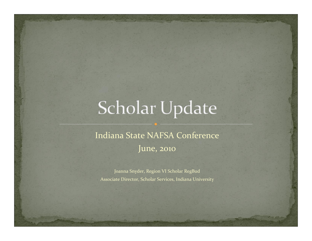# Scholar Update

### Indiana State NAFSA Conference June, <sup>2010</sup>

Joanna Snyder, Region VI Scholar RegBud Associate Director, Scholar Services, Indiana University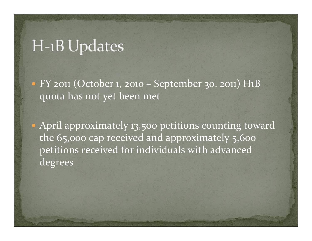# H-1B Updates

y FY <sup>2011</sup> (October 1, <sup>2010</sup> – September 30, 2011) H1B quota has not ye<sup>t</sup> been met

• April approximately 13,500 petitions counting toward the 65,000 cap received and approximately 5,600 petitions received for individuals with advanced degrees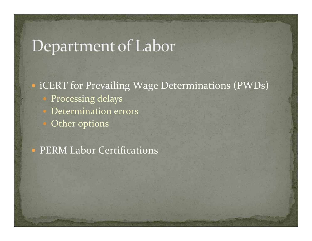# Department of Labor

### • iCERT for Prevailing Wage Determinations (PWDs) Processing delays

- Determination errors
	- Other options

#### • PERM Labor Certifications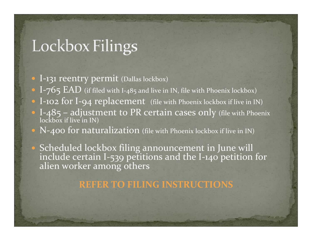# Lockbox Filings

- I-131 reentry permit (Dallas lockbox)
- I–765  $EAD$  (if filed with I-485 and live in IN, file with Phoenix lockbox)
- I-102 for I-94 replacement (file with Phoenix lockbox if live in IN) • I-485 – adjustment to PR certain cases only (file with Phoenix lockbox if live in IN)
- N-400 for naturalization (file with Phoenix lockbox if live in IN)
- Scheduled lockbox filing announcement in June will<br>include certain I-539 petitions and the I-140 petition include certain I-539 petitions and the I-140 petition for<br>alien worker among others alien worker among others

#### **REFER TO FILING INSTRUCTIONS**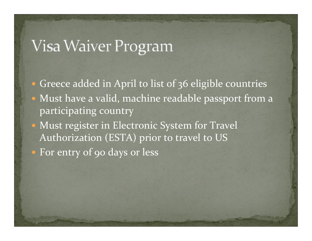# Visa Waiver Program

• Greece added in April to list of 36 eligible countries • Must have a valid, machine readable passport from a participating country • Must register in Electronic System for Travel Authorization (ESTA) prior to travel to US • For entry of 90 days or less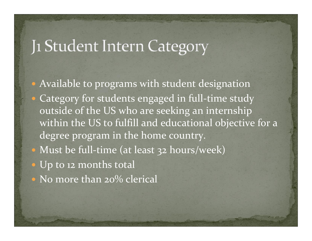## Ji Student Intern Category

• Available to programs with student designation • Category for students engaged in full-time study outside of the US who are seeking an internship within the US to fulfill and educational objective for <sup>a</sup> degree program in the home country. • Must be full-time (at least 32 hours/week) • Up to 12 months total  $\bullet$  No more than 20% clerical